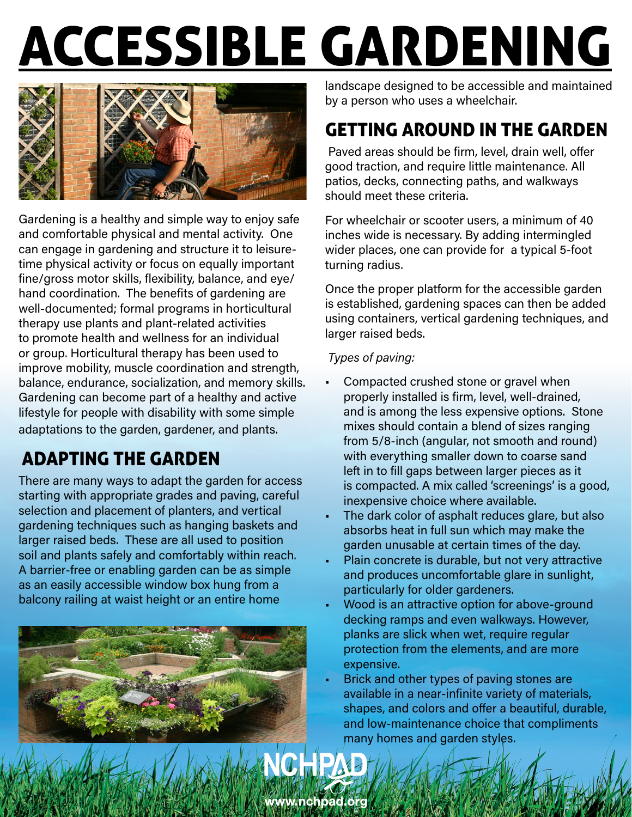# ACCESSIBLE GARDENING



Gardening is a healthy and simple way to enjoy safe and comfortable physical and mental activity. One can engage in gardening and structure it to leisuretime physical activity or focus on equally important fine/gross motor skills, flexibility, balance, and eye/ hand coordination. The benefits of gardening are well-documented; formal programs in horticultural therapy use plants and plant-related activities to promote health and wellness for an individual or group. Horticultural therapy has been used to improve mobility, muscle coordination and strength, balance, endurance, socialization, and memory skills. Gardening can become part of a healthy and active lifestyle for people with disability with some simple adaptations to the garden, gardener, and plants.

# ADAPTING THE GARDEN

There are many ways to adapt the garden for access starting with appropriate grades and paving, careful selection and placement of planters, and vertical gardening techniques such as hanging baskets and larger raised beds. These are all used to position soil and plants safely and comfortably within reach. A barrier-free or enabling garden can be as simple as an easily accessible window box hung from a balcony railing at waist height or an entire home



landscape designed to be accessible and maintained by a person who uses a wheelchair.

## GETTING AROUND IN THE GARDEN

 Paved areas should be firm, level, drain well, offer good traction, and require little maintenance. All patios, decks, connecting paths, and walkways should meet these criteria.

For wheelchair or scooter users, a minimum of 40 inches wide is necessary. By adding intermingled wider places, one can provide for a typical 5-foot turning radius.

Once the proper platform for the accessible garden is established, gardening spaces can then be added using containers, vertical gardening techniques, and larger raised beds.

#### *Types of paving:*

- Compacted crushed stone or gravel when properly installed is firm, level, well-drained, and is among the less expensive options. Stone mixes should contain a blend of sizes ranging from 5/8-inch (angular, not smooth and round) with everything smaller down to coarse sand left in to fill gaps between larger pieces as it is compacted. A mix called 'screenings' is a good, inexpensive choice where available.
- The dark color of asphalt reduces glare, but also absorbs heat in full sun which may make the garden unusable at certain times of the day.
- Plain concrete is durable, but not very attractive and produces uncomfortable glare in sunlight, particularly for older gardeners.
- Wood is an attractive option for above-ground decking ramps and even walkways. However, planks are slick when wet, require regular protection from the elements, and are more expensive.
- Brick and other types of paving stones are available in a near-infinite variety of materials, shapes, and colors and offer a beautiful, durable, and low-maintenance choice that compliments many homes and garden styles.

www.nchpad.org

NCHPA